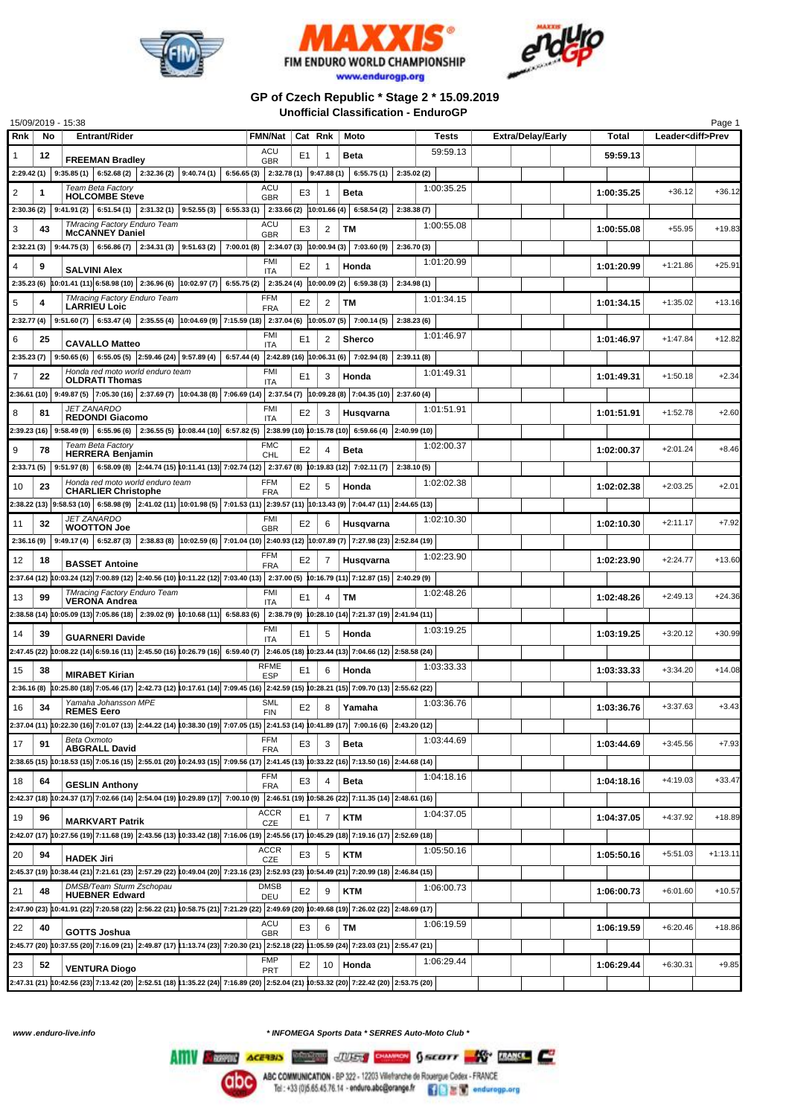





## **GP of Czech Republic \* Stage 2 \* 15.09.2019 Unofficial Classification - EnduroGP**

|                      | 15/09/2019 - 15:38                                                                                                                                                                                                            |                                     |                          |                 |                                                                 |            |                          |            |                          | Page 1     |
|----------------------|-------------------------------------------------------------------------------------------------------------------------------------------------------------------------------------------------------------------------------|-------------------------------------|--------------------------|-----------------|-----------------------------------------------------------------|------------|--------------------------|------------|--------------------------|------------|
| Rnk                  | No<br><b>Entrant/Rider</b>                                                                                                                                                                                                    | <b>FMN/Nat</b>                      | Cat Rnk                  |                 | Moto                                                            | Tests      | <b>Extra/Delay/Early</b> | Total      | Leader <diff>Prev</diff> |            |
| 1<br>12              | <b>FREEMAN Bradley</b>                                                                                                                                                                                                        | ACU<br><b>GBR</b>                   | E1                       | 1               | Beta                                                            | 59:59.13   |                          | 59:59.13   |                          |            |
|                      | $2:29.42(1)$   $9:35.85(1)$   $6:52.68(2)$   $2:32.36(2)$   $9:40.74(1)$                                                                                                                                                      | 6:56.65 (3) 2:32.78 (1) 9:47.88 (1) |                          |                 | 6:55.75(1)<br>2:35.02(2)                                        |            |                          |            |                          |            |
| 2<br>1               | Team Beta Factory                                                                                                                                                                                                             | <b>ACU</b>                          | E3                       |                 | Beta                                                            | 1:00:35.25 |                          | 1:00:35.25 | $+36.12$                 | $+36.12$   |
|                      | <b>HOLCOMBE Steve</b>                                                                                                                                                                                                         | <b>GBR</b>                          |                          |                 |                                                                 |            |                          |            |                          |            |
| 2:30.36(2)           | $6:51.54(1)$ 2:31.32(1) 9:52.55(3)<br>6:55.33(1)<br>9:41.91(2)                                                                                                                                                                |                                     | $2:33.66(2)$ 10:01.66(4) |                 | 6:58.54(2)<br>2:38.38(7)                                        |            |                          |            |                          |            |
| 3<br>43              | <b>TMracing Factory Enduro Team</b><br><b>McCANNEY Daniel</b>                                                                                                                                                                 | ACU<br><b>GBR</b>                   | E3                       | 2               | ТM                                                              | 1:00:55.08 |                          | 1:00:55.08 | $+55.95$                 | $+19.83$   |
| 2:32.21 (3)          | $9:44.75(3)$ 6:56.86(7) 2:34.31(3) 9:51.63(2)<br>7:00.01 (8)                                                                                                                                                                  |                                     | 2:34.07(3) 10:00.94(3)   |                 | 7:03.60 (9)<br>2:36.70(3)                                       |            |                          |            |                          |            |
| 4<br>9               | <b>SALVINI Alex</b>                                                                                                                                                                                                           | <b>FMI</b><br>ITA                   | E <sub>2</sub>           | 1               | Honda                                                           | 1:01:20.99 |                          | 1:01:20.99 | $+1:21.86$               | $+25.91$   |
|                      | 2:35.23 (6) $ 10:01.41 (11) 6:58.98 (10) 2:36.96 (6)$ $ 10:02.97 (7) 6:55.75 (2)$ $ 2:35.24 (4)$ $ 10:00.09 (2) 6:59.38 (3)$                                                                                                  |                                     |                          |                 | 2:34.98(1)                                                      |            |                          |            |                          |            |
| 4                    | <b>TMracing Factory Enduro Team</b>                                                                                                                                                                                           | FFM                                 |                          |                 | ТM                                                              | 1:01:34.15 |                          | 1:01:34.15 | $+1:35.02$               | $+13.16$   |
| 5                    | <b>LARRIEU Loic</b>                                                                                                                                                                                                           | <b>FRA</b>                          | E <sub>2</sub>           | 2               |                                                                 |            |                          |            |                          |            |
| 2:32.77(4)           | 9:51.60 (7)   6:53.47 (4)   2:35.55 (4)   10:04.69 (9)   7:15.59 (18)   2:37.04 (6)   10:05.07 (5)                                                                                                                            |                                     |                          |                 | 7:00.14(5)<br>2:38.23(6)                                        |            |                          |            |                          |            |
| 6<br>25              | <b>CAVALLO Matteo</b>                                                                                                                                                                                                         | <b>FMI</b><br><b>ITA</b>            | E1                       | 2               | <b>Sherco</b>                                                   | 1:01:46.97 |                          | 1:01:46.97 | $+1:47.84$               | $+12.82$   |
| 2:35.23(7)           | $9:50.65(6)$ 6:55.05(5) 2:59.46(24) 9:57.89(4)                                                                                                                                                                                |                                     |                          |                 | 6:57.44 (4) 2:42.89 (16) 10:06.31 (6) 7:02.94 (8)<br>2:39.11(8) |            |                          |            |                          |            |
| $\overline{7}$<br>22 | Honda red moto world enduro team                                                                                                                                                                                              | FMI                                 | E1                       | 3               | Honda                                                           | 1:01:49.31 |                          | 1:01:49.31 | $+1:50.18$               | $+2.34$    |
|                      | <b>OLDRATI Thomas</b><br>$\big 2.36.61\,(10)\big $ 9:49.87 (5) $\big 7.05.30\,(16)\big $ $2.37.69\,(7)\big 10.04.38\,(8)\big $ $7.06.69\,(14)\big $ $2.37.54\,(7)\big 10.09.28\,(8)\big $ $7.04.35\,(10)\big $ $2.37.60\,(4)$ | <b>ITA</b>                          |                          |                 |                                                                 |            |                          |            |                          |            |
|                      | <b>JET ZANARDO</b>                                                                                                                                                                                                            | <b>FMI</b>                          |                          |                 |                                                                 | 1:01:51.91 |                          |            |                          |            |
| 81<br>8              | <b>REDONDI Giacomo</b>                                                                                                                                                                                                        | <b>ITA</b>                          | E <sub>2</sub>           | 3               | Husqvarna                                                       |            |                          | 1:01:51.91 | $+1:52.78$               | $+2.60$    |
|                      | $2:39.23$ (16) $ 9:58.49$ (9) $ 6:55.96$ (6) $ 2:36.55$ (5) $ 0:08.44$ (10) $ 6:57.82$ (5) $ 2:38.99$ (10) $ 0:15.78$ (10) $ 6:59.66$ (4) $ 2:40.99$ (10)                                                                     |                                     |                          |                 |                                                                 |            |                          |            |                          |            |
| 9<br>78              | <b>Team Beta Factory</b><br><b>HERRERA Benjamin</b>                                                                                                                                                                           | <b>FMC</b><br>CHL                   | E <sub>2</sub>           | 4               | <b>Beta</b>                                                     | 1:02:00.37 |                          | 1:02:00.37 | $+2:01.24$               | $+8.46$    |
|                      | 2:33.71 (5) $ 9:51.97(8) $ 6:58.09 (8) 2:44.74 (15) 10:11.41 (13) 7:02.74 (12) 2:37.67 (8) 10:19.83 (12) 7:02.11 (7)                                                                                                          |                                     |                          |                 | 2:38.10(5)                                                      |            |                          |            |                          |            |
| 10<br>23             | Honda red moto world enduro team                                                                                                                                                                                              | <b>FFM</b>                          | E <sub>2</sub>           | 5               | Honda                                                           | 1:02:02.38 |                          | 1:02:02.38 | $+2:03.25$               | $+2.01$    |
|                      | <b>CHARLIER Christophe</b><br>2:38.22 (13) 9:58.53 (10) 6:58.98 (9) 2:41.02 (11) 10:01.98 (5) 7:01.53 (11) 2:39.57 (11) 10:13.43 (9) 7:04.47 (11) 2:44.65 (13)                                                                | <b>FRA</b>                          |                          |                 |                                                                 |            |                          |            |                          |            |
|                      | <b>JET ZANARDO</b>                                                                                                                                                                                                            | <b>FMI</b>                          |                          |                 |                                                                 |            |                          |            |                          |            |
| 32<br>11             | <b>WOOTTON Joe</b>                                                                                                                                                                                                            | <b>GBR</b>                          | E <sub>2</sub>           | 6               | Husqvarna                                                       | 1:02:10.30 |                          | 1:02:10.30 | $+2:11.17$               | $+7.92$    |
| 2:36.16(9)           | 2:38.83 (8) 10:02.59 (6) 7:01.04 (10) 2:40.93 (12) 10:07.89 (7) 7:27.98 (23) 2:52.84 (19)<br>$9:49.17(4)$ 6:52.87(3)                                                                                                          |                                     |                          |                 |                                                                 |            |                          |            |                          |            |
| 12<br>18             | <b>BASSET Antoine</b>                                                                                                                                                                                                         | <b>FFM</b><br><b>FRA</b>            | E <sub>2</sub>           | 7               | Husqvarna                                                       | 1:02:23.90 |                          | 1:02:23.90 | $+2:24.77$               | $+13.60$   |
|                      | 2:37.64 (12) 10:03.24 (12) 7:00.89 (12) 2:40.56 (10) 10:11.22 (12) 7:03.40 (13) 2:37.00 (5) 10:16.79 (11) 7:12.87 (15) 2:40.29 (9)                                                                                            |                                     |                          |                 |                                                                 |            |                          |            |                          |            |
|                      | <b>TMracing Factory Enduro Team</b>                                                                                                                                                                                           | <b>FMI</b>                          |                          |                 |                                                                 | 1:02:48.26 |                          |            |                          |            |
| 99<br>13             | <b>VERONA Andrea</b>                                                                                                                                                                                                          | <b>ITA</b>                          | E1                       | 4               | ТM                                                              |            |                          | 1:02:48.26 | $+2:49.13$               | $+24.36$   |
|                      | $2:38.58(14)$ 10:05.09 (13) 7:05.86 (18) 2:39.02 (9) 10:10.68 (11) 6:58.83 (6)                                                                                                                                                |                                     |                          |                 | $\vert$ 2:38.79 (9) 10:28.10 (14) 7:21.37 (19) 2:41.94 (11)     |            |                          |            |                          |            |
| 14<br>39             | <b>GUARNERI Davide</b>                                                                                                                                                                                                        | <b>FMI</b><br><b>ITA</b>            | E1                       | 5               | Honda                                                           | 1:03:19.25 |                          | 1:03:19.25 | $+3:20.12$               | $+30.99$   |
|                      | 2:47.45 (22) 10:08.22 (14) 6:59.16 (11) 2:45.50 (16) 10:26.79 (16) 6:59.40 (7) 2:46.05 (18) 10:23.44 (13) 7:04.66 (12) 2:58.58 (24)                                                                                           |                                     |                          |                 |                                                                 |            |                          |            |                          |            |
| 15<br>38             |                                                                                                                                                                                                                               | <b>RFME</b>                         | E <sub>1</sub>           | 6               | Honda                                                           | 1:03:33.33 |                          | 1:03:33.33 | $+3:34.20$               | $+14.08$   |
|                      | <b>MIRABET Kirian</b><br>2:36.16 (8) 10:25.80 (18) 7:05.46 (17) 2:42.73 (12) 10:17.61 (14) 7:09.45 (16) 2:42.59 (15) 10:28.21 (15) 7:09.70 (13) 2:55.62 (22)                                                                  | <b>ESP</b>                          |                          |                 |                                                                 |            |                          |            |                          |            |
|                      | Yamaha Johansson MPE                                                                                                                                                                                                          | <b>SML</b>                          |                          |                 |                                                                 | 1:03:36.76 |                          |            |                          |            |
| 16<br>34             | <b>REMES Eero</b>                                                                                                                                                                                                             | FIN                                 | E <sub>2</sub>           | 8               | Yamaha                                                          |            |                          | 1:03:36.76 | $+3:37.63$               | $+3.43$    |
|                      | 2:37.04 (11) 10:22.30 (16) 7:01.07 (13) 2:44.22 (14) 10:38.30 (19) 7:07.05 (15) 2:41.53 (14) 10:41.89 (17) 7:00.16 (6) 2:43.20 (12)                                                                                           |                                     |                          |                 |                                                                 |            |                          |            |                          |            |
| 17<br>91             | Beta Oxmoto<br><b>ABGRALL David</b>                                                                                                                                                                                           | <b>FFM</b><br><b>FRA</b>            | E <sub>3</sub>           | 3               | <b>Beta</b>                                                     | 1:03:44.69 |                          | 1:03:44.69 | $+3:45.56$               | $+7.93$    |
|                      | 2:38.65 (15) 10:18.53 (15) 7:05.16 (15) 2:55.01 (20) 10:24.93 (15) 7:09.56 (17) 2:41.45 (13) 10:33.22 (16) 7:13.50 (16) 2:44.68 (14)                                                                                          |                                     |                          |                 |                                                                 |            |                          |            |                          |            |
| 18<br>64             |                                                                                                                                                                                                                               | <b>FFM</b>                          | E <sub>3</sub>           | 4               | <b>Beta</b>                                                     | 1:04:18.16 |                          | 1:04:18.16 | $+4:19.03$               | $+33.47$   |
|                      | <b>GESLIN Anthony</b>                                                                                                                                                                                                         | <b>FRA</b>                          |                          |                 |                                                                 |            |                          |            |                          |            |
|                      | 2:42.37 (18) 10:24.37 (17) 7:02.66 (14) 2:54.04 (19) 10:29.89 (17) 7:00.10 (9) 2:46.51 (19) 10:58.26 (22) 7:11.35 (14) 2:48.61 (16)                                                                                           |                                     |                          |                 |                                                                 |            |                          |            |                          |            |
| 19<br>96             | <b>MARKVART Patrik</b>                                                                                                                                                                                                        | <b>ACCR</b><br><b>CZE</b>           | E1                       | 7               | KTM                                                             | 1:04:37.05 |                          | 1:04:37.05 | $+4:37.92$               | $+18.89$   |
|                      | 2:42.07 (17) 10:27.56 (19) 7:11.68 (19) 2:43.56 (13) 10:33.42 (18) 7:16.06 (19) 2:45.56 (17) 10:45.29 (18) 7:19.16 (17) 2:52.69 (18)                                                                                          |                                     |                          |                 |                                                                 |            |                          |            |                          |            |
| 20<br>94             |                                                                                                                                                                                                                               | ACCR                                | E <sub>3</sub>           | 5               | <b>KTM</b>                                                      | 1:05:50.16 |                          | 1:05:50.16 | $+5:51.03$               | $+1:13.11$ |
|                      | <b>HADEK Jiri</b><br>2:45.37 (19) 10:38.44 (21) 7:21.61 (23) 2:57.29 (22) 10:49.04 (20) 7:23.16 (23) 2:52.93 (23) 10:54.49 (21) 7:20.99 (18) 2:46.84 (15)                                                                     | CZE                                 |                          |                 |                                                                 |            |                          |            |                          |            |
|                      | DMSB/Team Sturm Zschopau                                                                                                                                                                                                      | <b>DMSB</b>                         |                          |                 |                                                                 | 1:06:00.73 |                          |            |                          |            |
| 21<br>48             | <b>HUEBNER Edward</b>                                                                                                                                                                                                         | DEU                                 | E <sub>2</sub>           | 9               | <b>KTM</b>                                                      |            |                          | 1:06:00.73 | $+6:01.60$               | $+10.57$   |
|                      | 2:47.90 (23) 10:41.91 (22) 7:20.58 (22) 2:56.22 (21) 10:58.75 (21) 7:21.29 (22) 2:49.69 (20) 10:49.68 (19) 7:26.02 (22) 2:48.69 (17)                                                                                          |                                     |                          |                 |                                                                 |            |                          |            |                          |            |
| 22<br>40             | GOTTS Joshua                                                                                                                                                                                                                  | ACU<br><b>GBR</b>                   | E <sub>3</sub>           | 6               | TМ                                                              | 1:06:19.59 |                          | 1:06:19.59 | $+6:20.46$               | $+18.86$   |
|                      | 2:45.77 (20) 10:37.55 (20) 7:16.09 (21) 2:49.87 (17) 11:13.74 (23) 7:20.30 (21) 2:52.18 (22) 11:05.59 (24) 7:23.03 (21) 2:55.47 (21)                                                                                          |                                     |                          |                 |                                                                 |            |                          |            |                          |            |
| 23<br>52             |                                                                                                                                                                                                                               | <b>FMP</b>                          | E <sub>2</sub>           | 10 <sup>1</sup> | Honda                                                           | 1:06:29.44 |                          | 1:06:29.44 | $+6:30.31$               | $+9.85$    |
|                      | <b>VENTURA Diogo</b>                                                                                                                                                                                                          | PRT                                 |                          |                 |                                                                 |            |                          |            |                          |            |
|                      | 2:47.31 (21) 10:42.56 (23) 7:13.42 (20) 2:52.51 (18) 11:35.22 (24) 7:16.89 (20) 2:52.04 (21) 10:53.32 (20) 7:22.42 (20) 2:53.75 (20)                                                                                          |                                     |                          |                 |                                                                 |            |                          |            |                          |            |

*www .enduro-live.info \* INFOMEGA Sports Data \* SERRES Auto-Moto Club \**

Alliv Commit Access Minimum JUST DANNON GALLOTT AND TRANSL

**rabc**